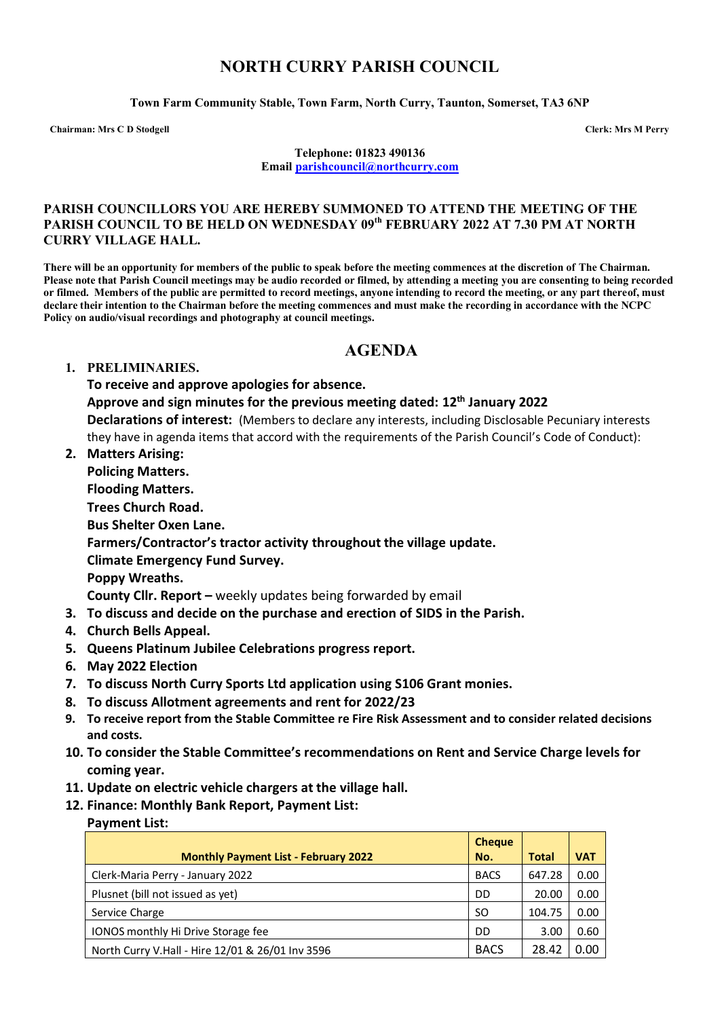# **NORTH CURRY PARISH COUNCIL**

**Town Farm Community Stable, Town Farm, North Curry, Taunton, Somerset, TA3 6NP**

**Chairman: Mrs C D Stodgell Clerk: Mrs M Perry**

**Telephone: 01823 490136 Email [parishcouncil@northcurry.com](mailto:parishcouncil@northcurry.com)**

#### **PARISH COUNCILLORS YOU ARE HEREBY SUMMONED TO ATTEND THE MEETING OF THE PARISH COUNCIL TO BE HELD ON WEDNESDAY 09th FEBRUARY 2022 AT 7.30 PM AT NORTH CURRY VILLAGE HALL.**

**There will be an opportunity for members of the public to speak before the meeting commences at the discretion of The Chairman. Please note that Parish Council meetings may be audio recorded or filmed, by attending a meeting you are consenting to being recorded or filmed. Members of the public are permitted to record meetings, anyone intending to record the meeting, or any part thereof, must declare their intention to the Chairman before the meeting commences and must make the recording in accordance with the NCPC Policy on audio/visual recordings and photography at council meetings.** 

# **AGENDA**

#### **1. PRELIMINARIES.**

**To receive and approve apologies for absence.**

**Approve and sign minutes for the previous meeting dated: 12th January 2022**

**Declarations of interest:** (Members to declare any interests, including Disclosable Pecuniary interests they have in agenda items that accord with the requirements of the Parish Council's Code of Conduct):

**2. Matters Arising:** 

**Policing Matters. Flooding Matters. Trees Church Road. Bus Shelter Oxen Lane. Farmers/Contractor's tractor activity throughout the village update. Climate Emergency Fund Survey. Poppy Wreaths. County Cllr. Report –** weekly updates being forwarded by email

- **3. To discuss and decide on the purchase and erection of SIDS in the Parish.**
- **4. Church Bells Appeal.**
- **5. Queens Platinum Jubilee Celebrations progress report.**
- **6. May 2022 Election**
- **7. To discuss North Curry Sports Ltd application using S106 Grant monies.**
- **8. To discuss Allotment agreements and rent for 2022/23**
- **9. To receive report from the Stable Committee re Fire Risk Assessment and to consider related decisions and costs.**
- **10. To consider the Stable Committee's recommendations on Rent and Service Charge levels for coming year.**
- **11. Update on electric vehicle chargers at the village hall.**
- **12. Finance: Monthly Bank Report, Payment List:**

### **Payment List:**

|                                                  | <b>Cheque</b> |              |            |
|--------------------------------------------------|---------------|--------------|------------|
| <b>Monthly Payment List - February 2022</b>      | No.           | <b>Total</b> | <b>VAT</b> |
| Clerk-Maria Perry - January 2022                 | <b>BACS</b>   | 647.28       | 0.00       |
| Plusnet (bill not issued as yet)                 | DD            | 20.00        | 0.00       |
| Service Charge                                   | <sub>SO</sub> | 104.75       | 0.00       |
| <b>IONOS monthly Hi Drive Storage fee</b>        | DD            | 3.00         | 0.60       |
| North Curry V.Hall - Hire 12/01 & 26/01 Inv 3596 | <b>BACS</b>   | 28.42        | 0.00       |